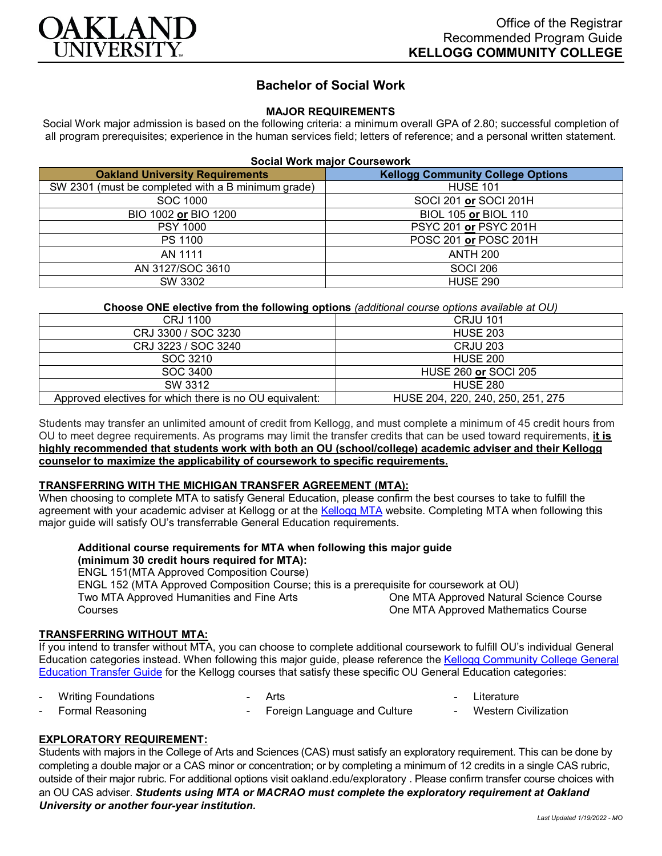

# **Bachelor of Social Work**

## **MAJOR REQUIREMENTS**

Social Work major admission is based on the following criteria: a minimum overall GPA of 2.80; successful completion of all program prerequisites; experience in the human services field; letters of reference; and a personal written statement.

#### **Social Work major Coursework**

| <b>Oakland University Requirements</b>             | <b>Kellogg Community College Options</b> |
|----------------------------------------------------|------------------------------------------|
| SW 2301 (must be completed with a B minimum grade) | <b>HUSE 101</b>                          |
| SOC 1000                                           | SOCI 201 or SOCI 201H                    |
| BIO 1002 or BIO 1200                               | <b>BIOL 105 or BIOL 110</b>              |
| <b>PSY 1000</b>                                    | PSYC 201 or PSYC 201H                    |
| <b>PS 1100</b>                                     | POSC 201 or POSC 201H                    |
| AN 1111                                            | <b>ANTH 200</b>                          |
| AN 3127/SOC 3610                                   | <b>SOCI 206</b>                          |
| SW 3302                                            | <b>HUSE 290</b>                          |

## **Choose ONE elective from the following options** *(additional course options available at OU)*

| CRJ 1100                                                | <b>CRJU 101</b>                   |
|---------------------------------------------------------|-----------------------------------|
| CRJ 3300 / SOC 3230                                     | <b>HUSE 203</b>                   |
| CRJ 3223 / SOC 3240                                     | <b>CRJU 203</b>                   |
| SOC 3210                                                | <b>HUSE 200</b>                   |
| SOC 3400                                                | HUSE 260 or SOCI 205              |
| SW 3312                                                 | <b>HUSE 280</b>                   |
| Approved electives for which there is no OU equivalent: | HUSE 204, 220, 240, 250, 251, 275 |

Students may transfer an unlimited amount of credit from Kellogg, and must complete a minimum of 45 credit hours from OU to meet degree requirements. As programs may limit the transfer credits that can be used toward requirements, **it is highly recommended that students work with both an OU (school/college) academic adviser and their Kellogg counselor to maximize the applicability of coursework to specific requirements.**

## **TRANSFERRING WITH THE MICHIGAN TRANSFER AGREEMENT (MTA):**

When choosing to complete MTA to satisfy General Education, please confirm the best courses to take to fulfill the agreement with your academic adviser at Kellogg or at the [Kellogg MTA](http://catalog.kellogg.edu/content.php?catoid=16&navoid=705&hl=Michigan+Transfer+Agreement&returnto=search) website. Completing MTA when following this major guide will satisfy OU's transferrable General Education requirements.

#### **Additional course requirements for MTA when following this major guide (minimum 30 credit hours required for MTA):**

ENGL 151(MTA Approved Composition Course) ENGL 152 (MTA Approved Composition Course; this is a prerequisite for coursework at OU) Two MTA Approved Humanities and Fine Arts Courses One MTA Approved Natural Science Course One MTA Approved Mathematics Course

## **TRANSFERRING WITHOUT MTA:**

If you intend to transfer without MTA, you can choose to complete additional coursework to fulfill OU's individual General Education categories instead. When following this major guide, please reference the [Kellogg Community College General](https://www.oakland.edu/Assets/Oakland/program-guides/kellogg-community-college/university-general-education-requirements/Kellogg%20Gen%20Ed.pdf)  [Education Transfer Guide](https://www.oakland.edu/Assets/Oakland/program-guides/kellogg-community-college/university-general-education-requirements/Kellogg%20Gen%20Ed.pdf) for the Kellogg courses that satisfy these specific OU General Education categories:

Writing Foundations

**Arts** 

**Literature** 

- Formal Reasoning
- Foreign Language and Culture
- Western Civilization

## **EXPLORATORY REQUIREMENT:**

Students with majors in the College of Arts and Sciences (CAS) must satisfy an exploratory requirement. This can be done by completing a double major or a CAS minor or concentration; or by completing a minimum of 12 credits in a single CAS rubric, outside of their major rubric. For additional options visit [oakland.edu/exploratory](http://www.oakland.edu/exploratory) . Please confirm transfer course choices with an OU CAS adviser. *Students using MTA or MACRAO must complete the exploratory requirement at Oakland University or another four-year institution.*